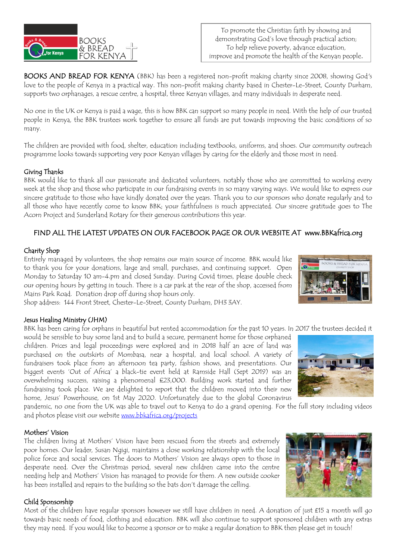

BOOKS AND BREAD FOR KENYA (BBK) has been a registered non-profit making charity since 2008, showing God's love to the people of Kenya in a practical way. This non-profit making charity based in Chester-Le-Street, County Durham, supports two orphanages, a rescue centre, a hospital, three Kenyan villages, and many individuals in desperate need.

No one in the UK or Kenya is paid a wage, this is how BBK can support so many people in need. With the help of our trusted people in Kenya, the BBK trustees work together to ensure all funds are put towards improving the basic conditions of so many.

The children are provided with food, shelter, education including textbooks, uniforms, and shoes. Our community outreach programme looks towards supporting very poor Kenyan villages by caring for the elderly and those most in need.

### Giving Thanks

BBK would like to thank all our passionate and dedicated volunteers, notably those who are committed to working every week at the shop and those who participate in our fundraising events in so many varying ways. We would like to express our sincere gratitude to those who have kindly donated over the years. Thank you to our sponsors who donate regularly and to all those who have recently come to know BBK; your faithfulness is much appreciated. Our sincere gratitude goes to The Acorn Project and Sunderland Rotary for their generous contributions this year.

## FIND ALL THE LATEST UPDATES ON OUR FACEBOOK PAGE OR OUR WEBSITE AT www.BBKafrica.org

### Charity Shop

Entirely managed by volunteers, the shop remains our main source of income. BBK would like to thank you for your donations, large and small, purchases, and continuing support. Open Monday to Saturday 10 am-4.pm and closed Sunday. During Covid times, please double check our opening hours by getting in touch. There is a car park at the rear of the shop, accessed from Mains Park Road. Donation drop off during shop hours only.

Shop address: 144 Front Street, Chester-Le-Street, County Durham, DH3 3AY.

#### Jesus Healing Ministry (JHM)

BBK has been caring for orphans in beautiful but rented accommodation for the past 10 years. In 2017 the trustees decided it

would be sensible to buy some land and to build a secure, permanent home for those orphaned children. Prices and legal proceedings were explored and in 2018 half an acre of land was purchased on the outskirts of Mombasa, near a hospital, and local school. A variety of fundraisers took place from an afternoon tea party, fashion shows, and presentations. Our biggest events 'Out of Africa' a black-tie event held at Ramside Hall (Sept 2019) was an overwhelming success, raising a phenomenal £23,000. Building work started and further fundraising took place. We are delighted to report that the children moved into their new home, Jesus' Powerhouse, on 1st May 2020. Unfortunately due to the global Coronavirus



pandemic, no one from the UK was able to travel out to Kenya to do a grand opening. For the full story including videos and photos please visit our website [www.bbkafrica.org/projects](http://www.bbkafrica.org/projects)

#### Mothers' Vision

The children living at Mothers' Vision have been rescued from the streets and extremely poor homes. Our leader, Susan Ngigi, maintains a close working relationship with the local police force and social services. The doors to Mothers' Vision are always open to those in desperate need. Over the Christmas period, several new children came into the centre needing help and Mothers' Vision has managed to provide for them. A new outside cooker has been installed and repairs to the building so the bats don't damage the celling.



#### Child Sponsorship

Most of the children have regular sponsors however we still have children in need. A donation of just £15 a month will go towards basic needs of food, clothing and education. BBK will also continue to support sponsored children with any extras they may need. If you would like to become a sponsor or to make a regular donation to BBK then please get in touch!